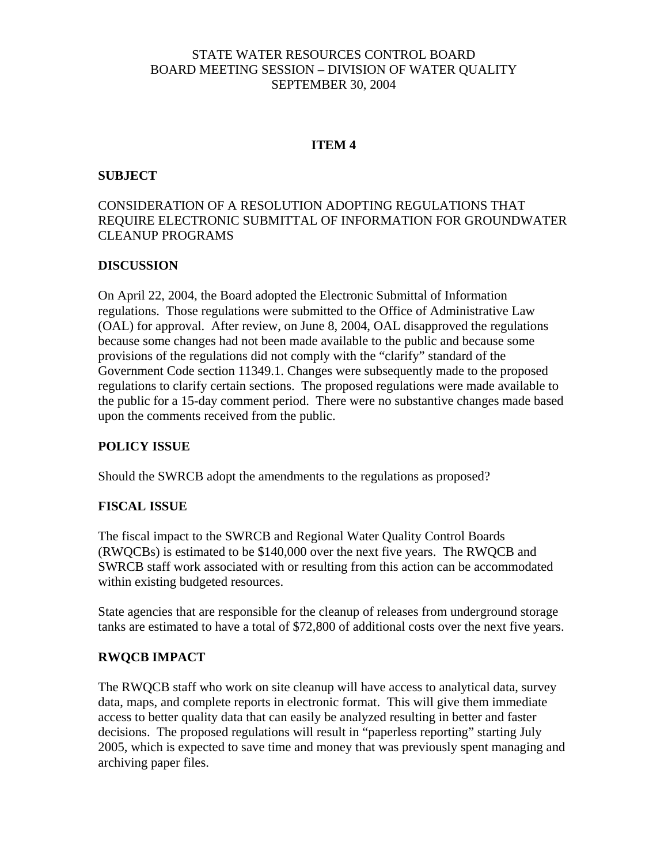# STATE WATER RESOURCES CONTROL BOARD BOARD MEETING SESSION – DIVISION OF WATER QUALITY SEPTEMBER 30, 2004

### **ITEM 4**

### **SUBJECT**

# CONSIDERATION OF A RESOLUTION ADOPTING REGULATIONS THAT REQUIRE ELECTRONIC SUBMITTAL OF INFORMATION FOR GROUNDWATER CLEANUP PROGRAMS

### **DISCUSSION**

On April 22, 2004, the Board adopted the Electronic Submittal of Information regulations. Those regulations were submitted to the Office of Administrative Law (OAL) for approval. After review, on June 8, 2004, OAL disapproved the regulations because some changes had not been made available to the public and because some provisions of the regulations did not comply with the "clarify" standard of the Government Code section 11349.1. Changes were subsequently made to the proposed regulations to clarify certain sections. The proposed regulations were made available to the public for a 15-day comment period. There were no substantive changes made based upon the comments received from the public.

### **POLICY ISSUE**

Should the SWRCB adopt the amendments to the regulations as proposed?

### **FISCAL ISSUE**

The fiscal impact to the SWRCB and Regional Water Quality Control Boards (RWQCBs) is estimated to be \$140,000 over the next five years. The RWQCB and SWRCB staff work associated with or resulting from this action can be accommodated within existing budgeted resources.

State agencies that are responsible for the cleanup of releases from underground storage tanks are estimated to have a total of \$72,800 of additional costs over the next five years.

### **RWQCB IMPACT**

The RWQCB staff who work on site cleanup will have access to analytical data, survey data, maps, and complete reports in electronic format. This will give them immediate access to better quality data that can easily be analyzed resulting in better and faster decisions. The proposed regulations will result in "paperless reporting" starting July 2005, which is expected to save time and money that was previously spent managing and archiving paper files.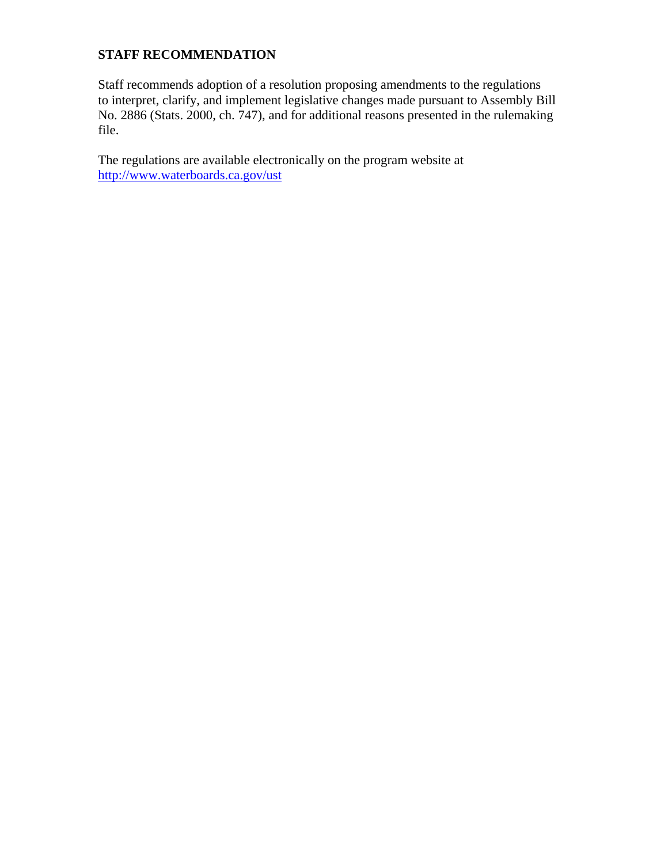# **STAFF RECOMMENDATION**

Staff recommends adoption of a resolution proposing amendments to the regulations to interpret, clarify, and implement legislative changes made pursuant to Assembly Bill No. 2886 (Stats. 2000, ch. 747), and for additional reasons presented in the rulemaking file.

The regulations are available electronically on the program website at <http://www.waterboards.ca.gov/ust>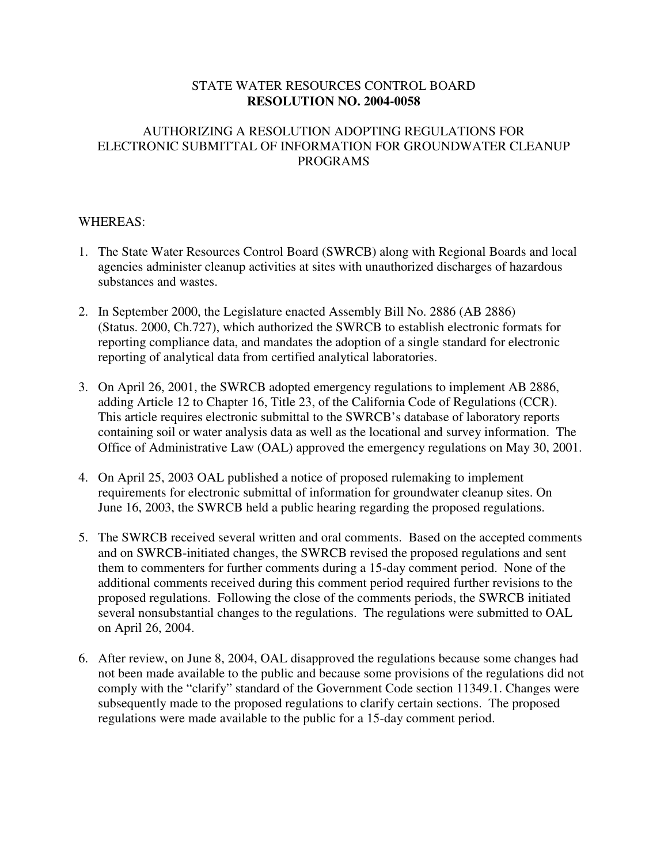## STATE WATER RESOURCES CONTROL BOARD **RESOLUTION NO. 2004-0058**

# AUTHORIZING A RESOLUTION ADOPTING REGULATIONS FOR ELECTRONIC SUBMITTAL OF INFORMATION FOR GROUNDWATER CLEANUP PROGRAMS

## WHEREAS:

- 1. The State Water Resources Control Board (SWRCB) along with Regional Boards and local agencies administer cleanup activities at sites with unauthorized discharges of hazardous substances and wastes.
- 2. In September 2000, the Legislature enacted Assembly Bill No. 2886 (AB 2886) (Status. 2000, Ch.727), which authorized the SWRCB to establish electronic formats for reporting compliance data, and mandates the adoption of a single standard for electronic reporting of analytical data from certified analytical laboratories.
- 3. On April 26, 2001, the SWRCB adopted emergency regulations to implement AB 2886, adding Article 12 to Chapter 16, Title 23, of the California Code of Regulations (CCR). This article requires electronic submittal to the SWRCB's database of laboratory reports containing soil or water analysis data as well as the locational and survey information. The Office of Administrative Law (OAL) approved the emergency regulations on May 30, 2001.
- 4. On April 25, 2003 OAL published a notice of proposed rulemaking to implement requirements for electronic submittal of information for groundwater cleanup sites. On June 16, 2003, the SWRCB held a public hearing regarding the proposed regulations.
- 5. The SWRCB received several written and oral comments. Based on the accepted comments and on SWRCB-initiated changes, the SWRCB revised the proposed regulations and sent them to commenters for further comments during a 15-day comment period. None of the additional comments received during this comment period required further revisions to the proposed regulations. Following the close of the comments periods, the SWRCB initiated several nonsubstantial changes to the regulations. The regulations were submitted to OAL on April 26, 2004.
- 6. After review, on June 8, 2004, OAL disapproved the regulations because some changes had not been made available to the public and because some provisions of the regulations did not comply with the "clarify" standard of the Government Code section 11349.1. Changes were subsequently made to the proposed regulations to clarify certain sections. The proposed regulations were made available to the public for a 15-day comment period.